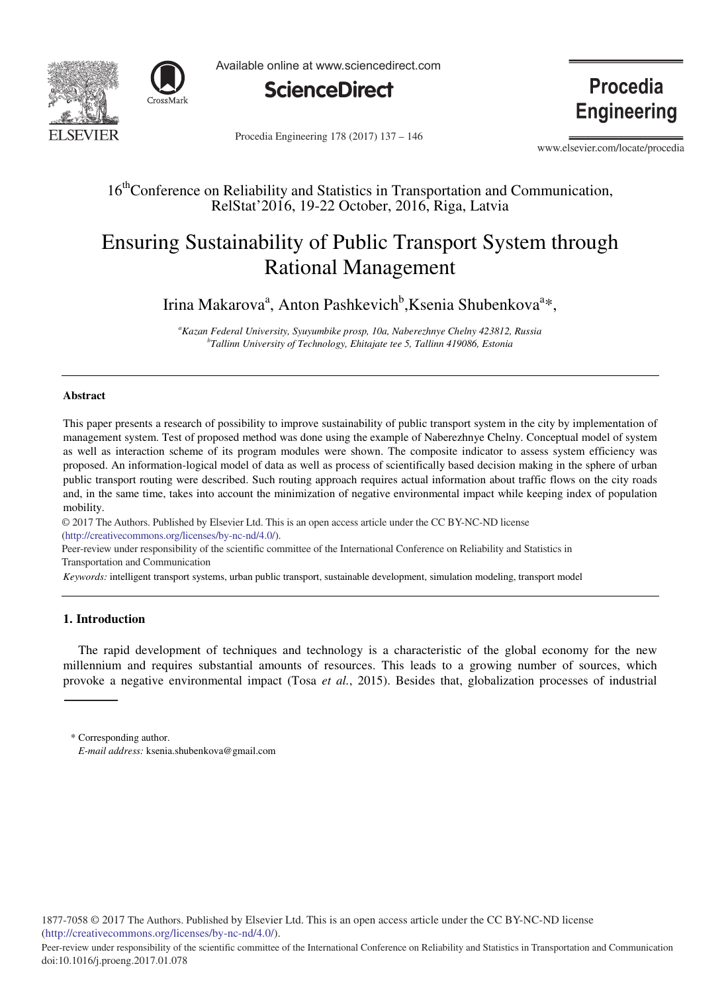



Available online at www.sciencedirect.com



**Procedia Engineering** 

Procedia Engineering 178 (2017) 137 - 146

www.elsevier.com/locate/procedia

## 16<sup>th</sup>Conference on Reliability and Statistics in Transportation and Communication, RelStat'2016, 19-22 October, 2016, Riga, Latvia

## Ensuring Sustainability of Public Transport System through Rational Management

Irina Makarova<sup>a</sup>, Anton Pashkevich<sup>b</sup>, Ksenia Shubenkova<sup>a</sup>\*,

*a Kazan Federal University, Syuyumbike prosp, 10a, Naberezhnye Chelny 423812, Russia b Tallinn University of Technology, Ehitajate tee 5, Tallinn 419086, Estonia* 

### **Abstract**

This paper presents a research of possibility to improve sustainability of public transport system in the city by implementation of management system. Test of proposed method was done using the example of Naberezhnye Chelny. Conceptual model of system as well as interaction scheme of its program modules were shown. The composite indicator to assess system efficiency was proposed. An information-logical model of data as well as process of scientifically based decision making in the sphere of urban public transport routing were described. Such routing approach requires actual information about traffic flows on the city roads and, in the same time, takes into account the minimization of negative environmental impact while keeping index of population mobility.

© 2017 The Authors. Published by Elsevier Ltd. © 2017 The Authors. Published by Elsevier Ltd. This is an open access article under the CC BY-NC-ND license (http://creativecommons.org/licenses/by-nc-nd/4.0/).

Peer-review under responsibility of the scientific committee of the International Conference on Reliability and Statistics in Transportation and Communication

*Keywords:* intelligent transport systems, urban public transport, sustainable development, simulation modeling, transport model

## **1. Introduction**

The rapid development of techniques and technology is a characteristic of the global economy for the new millennium and requires substantial amounts of resources. This leads to a growing number of sources, which provoke a negative environmental impact (Tosa *et al.*, 2015). Besides that, globalization processes of industrial

<sup>\*</sup> Corresponding author. *E-mail address:* ksenia.shubenkova@gmail.com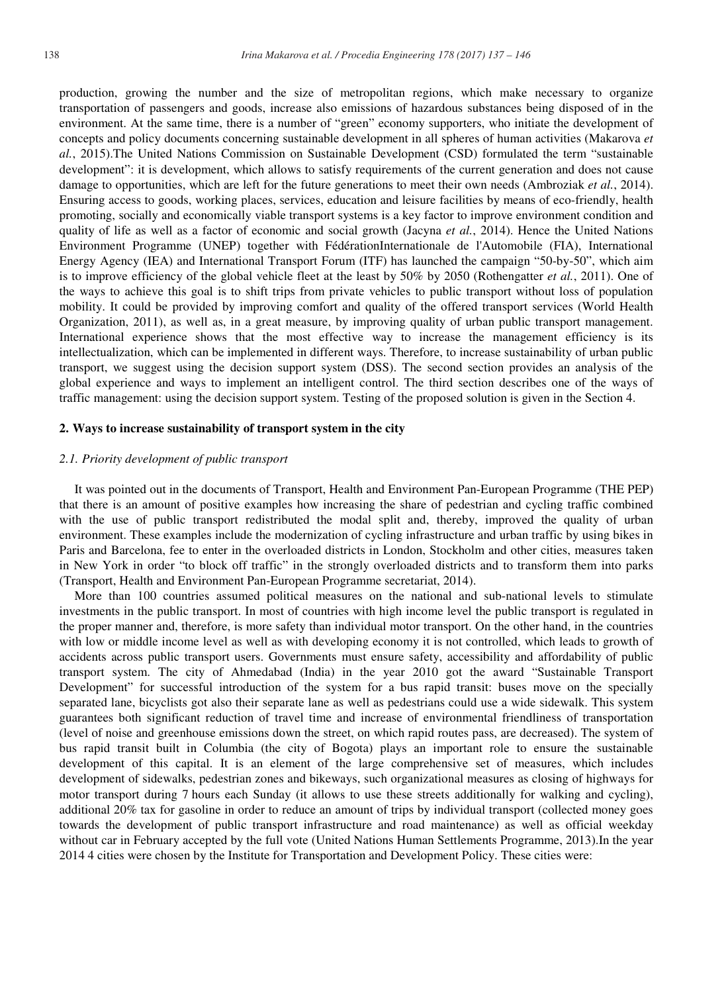production, growing the number and the size of metropolitan regions, which make necessary to organize transportation of passengers and goods, increase also emissions of hazardous substances being disposed of in the environment. At the same time, there is a number of "green" economy supporters, who initiate the development of concepts and policy documents concerning sustainable development in all spheres of human activities (Makarova *et al.*, 2015).The United Nations Commission on Sustainable Development (CSD) formulated the term "sustainable development": it is development, which allows to satisfy requirements of the current generation and does not cause damage to opportunities, which are left for the future generations to meet their own needs (Ambroziak *et al.*, 2014). Ensuring access to goods, working places, services, education and leisure facilities by means of eco-friendly, health promoting, socially and economically viable transport systems is a key factor to improve environment condition and quality of life as well as a factor of economic and social growth (Jacyna *et al.*, 2014). Hence the United Nations Environment Programme (UNEP) together with FédérationInternationale de l'Automobile (FIA), International Energy Agency (IEA) and International Transport Forum (ITF) has launched the campaign "50-by-50", which aim is to improve efficiency of the global vehicle fleet at the least by 50% by 2050 (Rothengatter *et al.*, 2011). One of the ways to achieve this goal is to shift trips from private vehicles to public transport without loss of population mobility. It could be provided by improving comfort and quality of the offered transport services (World Health Organization, 2011), as well as, in a great measure, by improving quality of urban public transport management. International experience shows that the most effective way to increase the management efficiency is its intellectualization, which can be implemented in different ways. Therefore, to increase sustainability of urban public transport, we suggest using the decision support system (DSS). The second section provides an analysis of the global experience and ways to implement an intelligent control. The third section describes one of the ways of traffic management: using the decision support system. Testing of the proposed solution is given in the Section 4.

#### **2. Ways to increase sustainability of transport system in the city**

### *2.1. Priority development of public transport*

It was pointed out in the documents of Transport, Health and Environment Pan-European Programme (THE PEP) that there is an amount of positive examples how increasing the share of pedestrian and cycling traffic combined with the use of public transport redistributed the modal split and, thereby, improved the quality of urban environment. These examples include the modernization of cycling infrastructure and urban traffic by using bikes in Paris and Barcelona, fee to enter in the overloaded districts in London, Stockholm and other cities, measures taken in New York in order "to block off traffic" in the strongly overloaded districts and to transform them into parks (Transport, Health and Environment Pan-European Programme secretariat, 2014).

More than 100 countries assumed political measures on the national and sub-national levels to stimulate investments in the public transport. In most of countries with high income level the public transport is regulated in the proper manner and, therefore, is more safety than individual motor transport. On the other hand, in the countries with low or middle income level as well as with developing economy it is not controlled, which leads to growth of accidents across public transport users. Governments must ensure safety, accessibility and affordability of public transport system. The city of Ahmedabad (India) in the year 2010 got the award "Sustainable Transport Development" for successful introduction of the system for a bus rapid transit: buses move on the specially separated lane, bicyclists got also their separate lane as well as pedestrians could use a wide sidewalk. This system guarantees both significant reduction of travel time and increase of environmental friendliness of transportation (level of noise and greenhouse emissions down the street, on which rapid routes pass, are decreased). The system of bus rapid transit built in Columbia (the city of Bogota) plays an important role to ensure the sustainable development of this capital. It is an element of the large comprehensive set of measures, which includes development of sidewalks, pedestrian zones and bikeways, such organizational measures as closing of highways for motor transport during 7 hours each Sunday (it allows to use these streets additionally for walking and cycling), additional 20% tax for gasoline in order to reduce an amount of trips by individual transport (collected money goes towards the development of public transport infrastructure and road maintenance) as well as official weekday without car in February accepted by the full vote (United Nations Human Settlements Programme, 2013).In the year 2014 4 cities were chosen by the Institute for Transportation and Development Policy. These cities were: